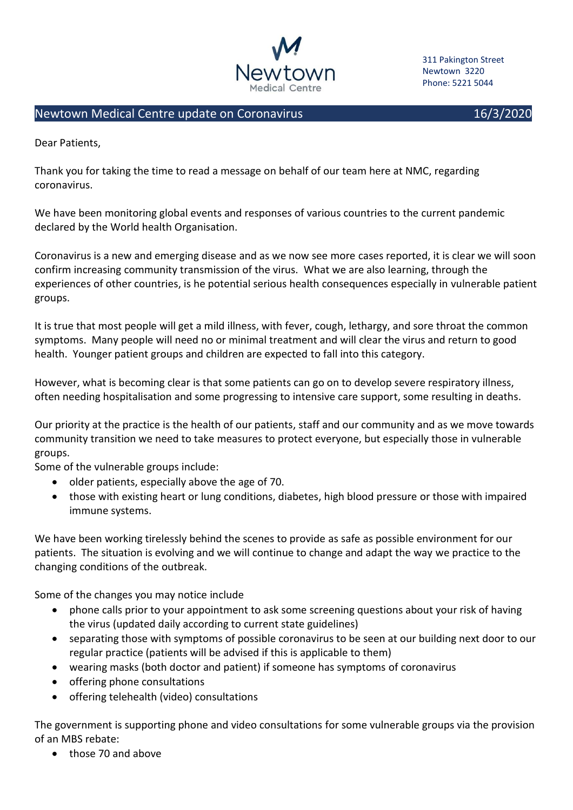

311 Pakington Street Newtown 3220 Phone: 5221 5044

## Newtown Medical Centre update on Coronavirus 16/3/2020 16/3/2020

Dear Patients,

Thank you for taking the time to read a message on behalf of our team here at NMC, regarding coronavirus.

We have been monitoring global events and responses of various countries to the current pandemic declared by the World health Organisation.

Coronavirus is a new and emerging disease and as we now see more cases reported, it is clear we will soon confirm increasing community transmission of the virus. What we are also learning, through the experiences of other countries, is he potential serious health consequences especially in vulnerable patient groups.

It is true that most people will get a mild illness, with fever, cough, lethargy, and sore throat the common symptoms. Many people will need no or minimal treatment and will clear the virus and return to good health. Younger patient groups and children are expected to fall into this category.

However, what is becoming clear is that some patients can go on to develop severe respiratory illness, often needing hospitalisation and some progressing to intensive care support, some resulting in deaths.

Our priority at the practice is the health of our patients, staff and our community and as we move towards community transition we need to take measures to protect everyone, but especially those in vulnerable groups.

Some of the vulnerable groups include:

- older patients, especially above the age of 70.
- those with existing heart or lung conditions, diabetes, high blood pressure or those with impaired immune systems.

We have been working tirelessly behind the scenes to provide as safe as possible environment for our patients. The situation is evolving and we will continue to change and adapt the way we practice to the changing conditions of the outbreak.

Some of the changes you may notice include

- phone calls prior to your appointment to ask some screening questions about your risk of having the virus (updated daily according to current state guidelines)
- separating those with symptoms of possible coronavirus to be seen at our building next door to our regular practice (patients will be advised if this is applicable to them)
- wearing masks (both doctor and patient) if someone has symptoms of coronavirus
- offering phone consultations
- offering telehealth (video) consultations

The government is supporting phone and video consultations for some vulnerable groups via the provision of an MBS rebate:

• those 70 and above